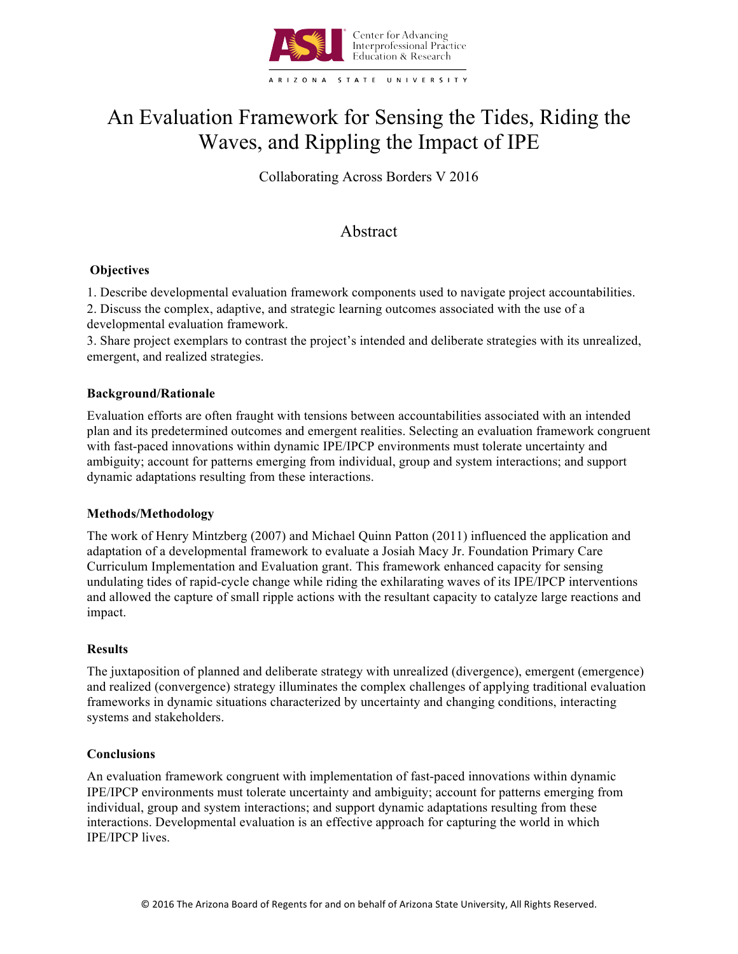

# An Evaluation Framework for Sensing the Tides, Riding the Waves, and Rippling the Impact of IPE

Collaborating Across Borders V 2016

# Abstract

# **Objectives**

1. Describe developmental evaluation framework components used to navigate project accountabilities.

2. Discuss the complex, adaptive, and strategic learning outcomes associated with the use of a developmental evaluation framework.

3. Share project exemplars to contrast the project's intended and deliberate strategies with its unrealized, emergent, and realized strategies.

### **Background/Rationale**

Evaluation efforts are often fraught with tensions between accountabilities associated with an intended plan and its predetermined outcomes and emergent realities. Selecting an evaluation framework congruent with fast-paced innovations within dynamic IPE/IPCP environments must tolerate uncertainty and ambiguity; account for patterns emerging from individual, group and system interactions; and support dynamic adaptations resulting from these interactions.

# **Methods/Methodology**

The work of Henry Mintzberg (2007) and Michael Quinn Patton (2011) influenced the application and adaptation of a developmental framework to evaluate a Josiah Macy Jr. Foundation Primary Care Curriculum Implementation and Evaluation grant. This framework enhanced capacity for sensing undulating tides of rapid-cycle change while riding the exhilarating waves of its IPE/IPCP interventions and allowed the capture of small ripple actions with the resultant capacity to catalyze large reactions and impact.

#### **Results**

The juxtaposition of planned and deliberate strategy with unrealized (divergence), emergent (emergence) and realized (convergence) strategy illuminates the complex challenges of applying traditional evaluation frameworks in dynamic situations characterized by uncertainty and changing conditions, interacting systems and stakeholders.

#### **Conclusions**

An evaluation framework congruent with implementation of fast-paced innovations within dynamic IPE/IPCP environments must tolerate uncertainty and ambiguity; account for patterns emerging from individual, group and system interactions; and support dynamic adaptations resulting from these interactions. Developmental evaluation is an effective approach for capturing the world in which IPE/IPCP lives.